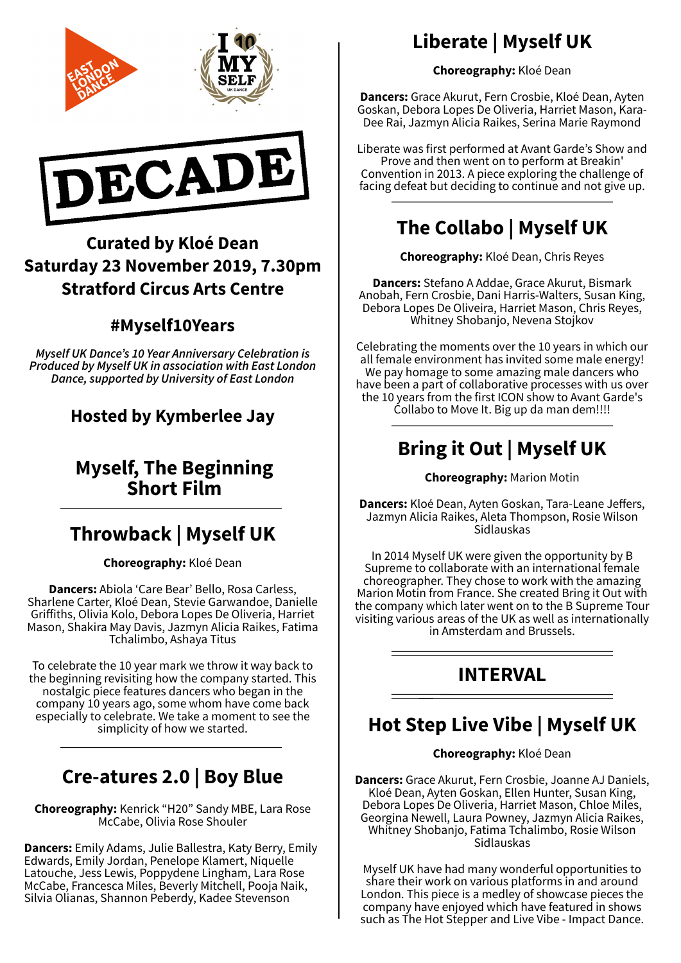

## Curated by Kloé Dean Saturday 23 November 2019, 7.30pm Stratford Circus Arts Centre

#### #Myself10Years

Myself UK Dance's 10 Year Anniversary Celebration is Produced by Myself UK in association with East London Dance, supported by University of East London

### Hosted by Kymberlee Jay

### Myself, The Beginning Short Film

# Throwback | Myself UK

Choreography: Kloé Dean

Dancers: Abiola 'Care Bear' Bello, Rosa Carless, Sharlene Carter, Kloé Dean, Stevie Garwandoe, Danielle Grifiths, Olivia Kolo, Debora Lopes De Oliveria, Harriet Mason, Shakira May Davis, Jazmyn Alicia Raikes, Fatima Tchalimbo, Ashaya Titus

To celebrate the 10 year mark we throw it way back to the beginning revisiting how the company started. This nostalgic piece features dancers who began in the company 10 years ago, some whom have come back especially to celebrate. We take a moment to see the simplicity of how we started.

## Cre-atures 2.0 | Boy Blue

Choreography: Kenrick "H20" Sandy MBE, Lara Rose McCabe, Olivia Rose Shouler

Dancers: Emily Adams, Julie Ballestra, Katy Berry, Emily Edwards, Emily Jordan, Penelope Klamert, Niquelle Latouche, Jess Lewis, Poppydene Lingham, Lara Rose McCabe, Francesca Miles, Beverly Mitchell, Pooja Naik, Silvia Olianas, Shannon Peberdy, Kadee Stevenson

# Liberate | Myself UK

Choreography: Kloé Dean

Dancers: Grace Akurut, Fern Crosbie, Kloé Dean, Ayten Goskan, Debora Lopes De Oliveria, Harriet Mason, Kara-Dee Rai, Jazmyn Alicia Raikes, Serina Marie Raymond

Liberate was first performed at Avant Garde's Show and Prove and then went on to perform at Breakin' Convention in 2013. A piece exploring the challenge of facing defeat but deciding to continue and not give up.

# The Collabo | Myself UK

Choreography: Kloé Dean, Chris Reyes

Dancers: Stefano A Addae, Grace Akurut, Bismark Anobah, Fern Crosbie, Dani Harris-Walters, Susan King, Debora Lopes De Oliveira, Harriet Mason, Chris Reyes, Whitney Shobanjo, Nevena Stojkov

Celebrating the moments over the 10 years in which our all female environment has invited some male energy! We pay homage to some amazing male dancers who have been a part of collaborative processes with us over the 10 years from the first ICON show to Avant Garde's Collabo to Move It. Big up da man dem!!!!

## Bring it Out | Myself UK

Choreography: Marion Motin

Dancers: Kloé Dean, Ayten Goskan, Tara-Leane Jeffers, Jazmyn Alicia Raikes, Aleta Thompson, Rosie Wilson Sidlauskas

In 2014 Myself UK were given the opportunity by B Supreme to collaborate with an international female choreographer. They chose to work with the amazing Marion Motin from France. She created Bring it Out with the company which later went on to the B Supreme Tour visiting various areas of the UK as well as internationally in Amsterdam and Brussels.

## INTERVAL

## Hot Step Live Vibe | Myself UK

Choreography: Kloé Dean

Dancers: Grace Akurut, Fern Crosbie, Joanne AJ Daniels, Kloé Dean, Ayten Goskan, Ellen Hunter, Susan King, Debora Lopes De Oliveria, Harriet Mason, Chloe Miles, Georgina Newell, Laura Powney, Jazmyn Alicia Raikes, Whitney Shobanjo, Fatima Tchalimbo, Rosie Wilson Sidlauskas

Myself UK have had many wonderful opportunities to share their work on various platforms in and around London. This piece is a medley of showcase pieces the company have enjoyed which have featured in shows such as The Hot Stepper and Live Vibe - Impact Dance.